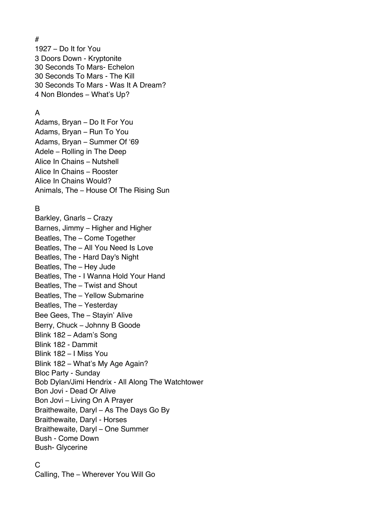# – Do It for You Doors Down - Kryptonite Seconds To Mars- Echelon Seconds To Mars - The Kill Seconds To Mars - Was It A Dream? Non Blondes – What's Up?

### A

Adams, Bryan – Do It For You Adams, Bryan – Run To You Adams, Bryan – Summer Of '69 Adele – Rolling in The Deep Alice In Chains – Nutshell Alice In Chains – Rooster Alice In Chains Would? Animals, The – House Of The Rising Sun

### B

Barkley, Gnarls – Crazy Barnes, Jimmy – Higher and Higher Beatles, The – Come Together Beatles, The – All You Need Is Love Beatles, The - Hard Day's Night Beatles, The – Hey Jude Beatles, The - I Wanna Hold Your Hand Beatles, The – Twist and Shout Beatles, The – Yellow Submarine Beatles, The – Yesterday Bee Gees, The – Stayin' Alive Berry, Chuck – Johnny B Goode Blink 182 – Adam's Song Blink 182 - Dammit Blink 182 – I Miss You Blink 182 – What's My Age Again? Bloc Party - Sunday Bob Dylan/Jimi Hendrix - All Along The Watchtower Bon Jovi - Dead Or Alive Bon Jovi – Living On A Prayer Braithewaite, Daryl – As The Days Go By Braithewaite, Daryl - Horses Braithewaite, Daryl – One Summer Bush - Come Down Bush- Glycerine

#### $\mathcal{C}$

Calling, The – Wherever You Will Go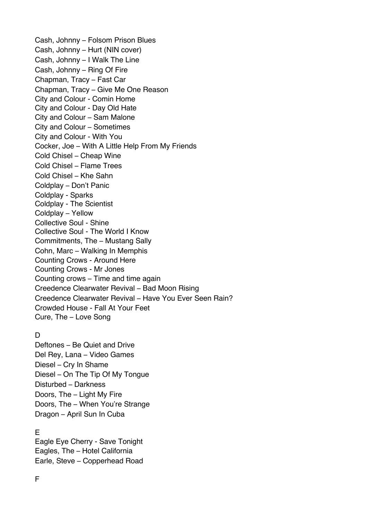Cash, Johnny – Folsom Prison Blues Cash, Johnny – Hurt (NIN cover) Cash, Johnny – I Walk The Line Cash, Johnny – Ring Of Fire Chapman, Tracy – Fast Car Chapman, Tracy – Give Me One Reason City and Colour - Comin Home City and Colour - Day Old Hate City and Colour – Sam Malone City and Colour – Sometimes City and Colour - With You Cocker, Joe – With A Little Help From My Friends Cold Chisel – Cheap Wine Cold Chisel – Flame Trees Cold Chisel – Khe Sahn Coldplay – Don't Panic Coldplay - Sparks Coldplay - The Scientist Coldplay – Yellow Collective Soul - Shine Collective Soul - The World I Know Commitments, The – Mustang Sally Cohn, Marc – Walking In Memphis Counting Crows - Around Here Counting Crows - Mr Jones Counting crows – Time and time again Creedence Clearwater Revival – Bad Moon Rising Creedence Clearwater Revival – Have You Ever Seen Rain? Crowded House - Fall At Your Feet Cure, The – Love Song

# $\overline{D}$

Deftones – Be Quiet and Drive Del Rey, Lana – Video Games Diesel – Cry In Shame Diesel – On The Tip Of My Tongue Disturbed – Darkness Doors, The – Light My Fire Doors, The – When You're Strange Dragon – April Sun In Cuba

# E

Eagle Eye Cherry - Save Tonight Eagles, The – Hotel California Earle, Steve – Copperhead Road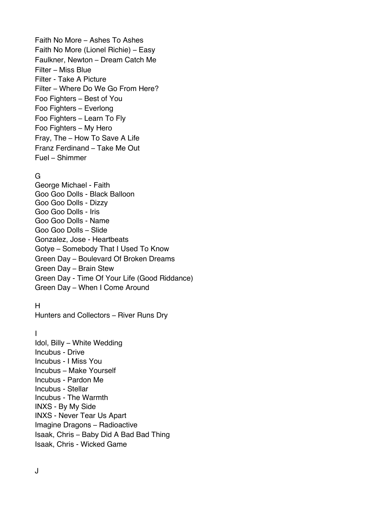Faith No More – Ashes To Ashes Faith No More (Lionel Richie) – Easy Faulkner, Newton – Dream Catch Me Filter – Miss Blue Filter - Take A Picture Filter – Where Do We Go From Here? Foo Fighters – Best of You Foo Fighters – Everlong Foo Fighters – Learn To Fly Foo Fighters – My Hero Fray, The – How To Save A Life Franz Ferdinand – Take Me Out Fuel – Shimmer

# G

George Michael - Faith Goo Goo Dolls - Black Balloon Goo Goo Dolls - Dizzy Goo Goo Dolls - Iris Goo Goo Dolls - Name Goo Goo Dolls – Slide Gonzalez, Jose - Heartbeats Gotye – Somebody That I Used To Know Green Day – Boulevard Of Broken Dreams Green Day – Brain Stew Green Day - Time Of Your Life (Good Riddance) Green Day – When I Come Around

### H

Hunters and Collectors – River Runs Dry

#### I

Idol, Billy – White Wedding Incubus - Drive Incubus - I Miss You Incubus – Make Yourself Incubus - Pardon Me Incubus - Stellar Incubus - The Warmth INXS - By My Side INXS - Never Tear Us Apart Imagine Dragons – Radioactive Isaak, Chris – Baby Did A Bad Bad Thing Isaak, Chris - Wicked Game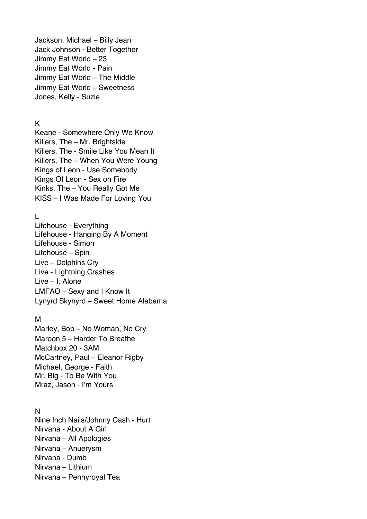Jackson, Michael – Billy Jean Jack Johnson - Better Together Jimmy Eat World – 23 Jimmy Eat World - Pain Jimmy Eat World – The Middle Jimmy Eat World – Sweetness Jones, Kelly - Suzie

#### K

Keane - Somewhere Only We Know Killers, The – Mr. Brightside Killers, The - Smile Like You Mean It Killers, The – When You Were Young Kings of Leon - Use Somebody Kings Of Leon - Sex on Fire Kinks, The – You Really Got Me KISS – I Was Made For Loving You

# $\mathbf{L}$

Lifehouse - Everything Lifehouse - Hanging By A Moment Lifehouse - Simon Lifehouse – Spin Live – Dolphins Cry Live - Lightning Crashes Live – I, Alone LMFAO – Sexy and I Know It Lynyrd Skynyrd – Sweet Home Alabama

#### M

Marley, Bob – No Woman, No Cry Maroon 5 – Harder To Breathe Matchbox 20 - 3AM McCartney, Paul – Eleanor Rigby Michael, George - Faith Mr. Big - To Be With You Mraz, Jason - I'm Yours

### N

Nine Inch Nails/Johnny Cash - Hurt Nirvana - About A Girl Nirvana – All Apologies Nirvana – Anuerysm Nirvana - Dumb Nirvana – Lithium Nirvana – Pennyroyal Tea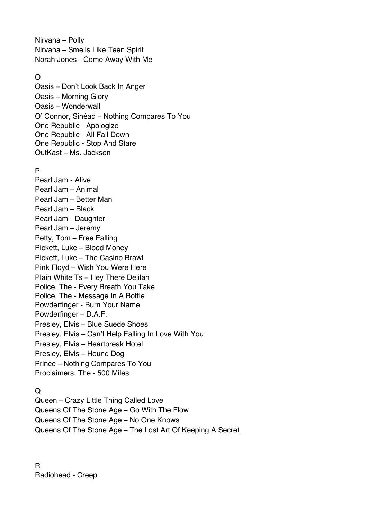Nirvana – Polly Nirvana – Smells Like Teen Spirit Norah Jones - Come Away With Me

### O

Oasis – Don't Look Back In Anger Oasis – Morning Glory Oasis – Wonderwall O' Connor, Sinéad – Nothing Compares To You One Republic - Apologize One Republic - All Fall Down One Republic - Stop And Stare OutKast – Ms. Jackson

### P

Pearl Jam - Alive Pearl Jam – Animal Pearl Jam – Better Man Pearl Jam – Black Pearl Jam - Daughter Pearl Jam – Jeremy Petty, Tom – Free Falling Pickett, Luke – Blood Money Pickett, Luke – The Casino Brawl Pink Floyd – Wish You Were Here Plain White Ts – Hey There Delilah Police, The - Every Breath You Take Police, The - Message In A Bottle Powderfinger - Burn Your Name Powderfinger – D.A.F. Presley, Elvis – Blue Suede Shoes Presley, Elvis – Can't Help Falling In Love With You Presley, Elvis – Heartbreak Hotel Presley, Elvis – Hound Dog Prince – Nothing Compares To You Proclaimers, The - 500 Miles

# $\Omega$

Queen – Crazy Little Thing Called Love Queens Of The Stone Age – Go With The Flow Queens Of The Stone Age – No One Knows Queens Of The Stone Age – The Lost Art Of Keeping A Secret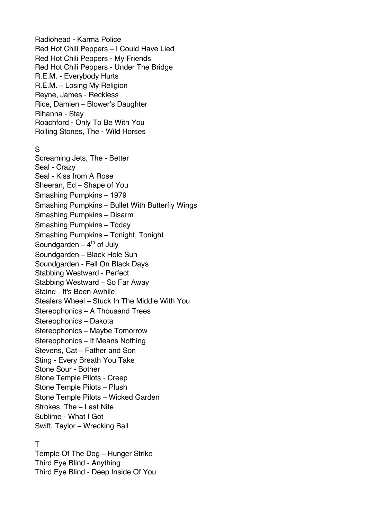Radiohead - Karma Police Red Hot Chili Peppers – I Could Have Lied Red Hot Chili Peppers - My Friends Red Hot Chili Peppers - Under The Bridge R.E.M. - Everybody Hurts R.E.M. – Losing My Religion Reyne, James - Reckless Rice, Damien – Blower's Daughter Rihanna - Stay Roachford - Only To Be With You Rolling Stones, The - Wild Horses

#### S

Screaming Jets, The - Better Seal - Crazy Seal - Kiss from A Rose Sheeran, Ed – Shape of You Smashing Pumpkins – 1979 Smashing Pumpkins – Bullet With Butterfly Wings Smashing Pumpkins – Disarm Smashing Pumpkins – Today Smashing Pumpkins – Tonight, Tonight Soundgarden  $-4<sup>th</sup>$  of July Soundgarden – Black Hole Sun Soundgarden - Fell On Black Days Stabbing Westward - Perfect Stabbing Westward – So Far Away Staind - It's Been Awhile Stealers Wheel – Stuck In The Middle With You Stereophonics – A Thousand Trees Stereophonics – Dakota Stereophonics – Maybe Tomorrow Stereophonics – It Means Nothing Stevens, Cat – Father and Son Sting - Every Breath You Take Stone Sour - Bother Stone Temple Pilots - Creep Stone Temple Pilots – Plush Stone Temple Pilots – Wicked Garden Strokes, The – Last Nite Sublime - What I Got Swift, Taylor – Wrecking Ball

#### T

Temple Of The Dog – Hunger Strike Third Eye Blind - Anything Third Eye Blind - Deep Inside Of You